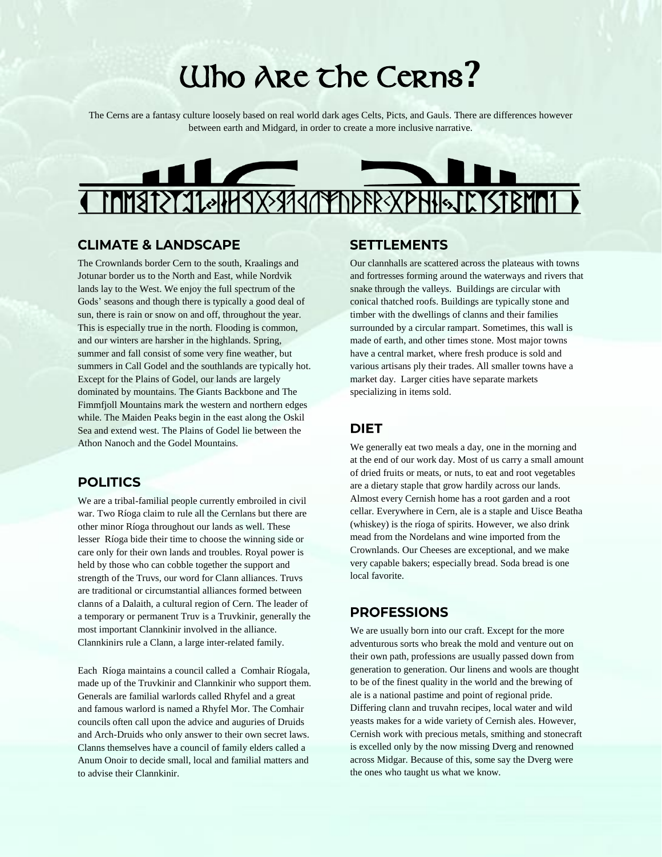# Who Are the Cerns**?**

The Cerns are a fantasy culture loosely based on real world dark ages Celts, Picts, and Gauls. There are differences however between earth and Midgard, in order to create a more inclusive narrative.



### **CLIMATE & LANDSCAPE**

The Crownlands border Cern to the south, Kraalings and Jotunar border us to the North and East, while Nordvik lands lay to the West. We enjoy the full spectrum of the Gods' seasons and though there is typically a good deal of sun, there is rain or snow on and off, throughout the year. This is especially true in the north. Flooding is common, and our winters are harsher in the highlands. Spring, summer and fall consist of some very fine weather, but summers in Call Godel and the southlands are typically hot. Except for the Plains of Godel, our lands are largely dominated by mountains. The Giants Backbone and The Fimmfjoll Mountains mark the western and northern edges while. The Maiden Peaks begin in the east along the Oskil Sea and extend west. The Plains of Godel lie between the Athon Nanoch and the Godel Mountains.

# **POLITICS**

We are a tribal-familial people currently embroiled in civil war. Two Ríoga claim to rule all the Cernlans but there are other minor Ríoga throughout our lands as well. These lesser Ríoga bide their time to choose the winning side or care only for their own lands and troubles. Royal power is held by those who can cobble together the support and strength of the Truvs, our word for Clann alliances. Truvs are traditional or circumstantial alliances formed between clanns of a Dalaith, a cultural region of Cern. The leader of a temporary or permanent Truv is a Truvkinir, generally the most important Clannkinir involved in the alliance. Clannkinirs rule a Clann, a large inter-related family.

Each Ríoga maintains a council called a Comhair Ríogala, made up of the Truvkinir and Clannkinir who support them. Generals are familial warlords called Rhyfel and a great and famous warlord is named a Rhyfel Mor. The Comhair councils often call upon the advice and auguries of Druids and Arch-Druids who only answer to their own secret laws. Clanns themselves have a council of family elders called a Anum Onoir to decide small, local and familial matters and to advise their Clannkinir.

#### **SETTLEMENTS**

Our clannhalls are scattered across the plateaus with towns and fortresses forming around the waterways and rivers that snake through the valleys. Buildings are circular with conical thatched roofs. Buildings are typically stone and timber with the dwellings of clanns and their families surrounded by a circular rampart. Sometimes, this wall is made of earth, and other times stone. Most major towns have a central market, where fresh produce is sold and various artisans ply their trades. All smaller towns have a market day. Larger cities have separate markets specializing in items sold.

#### **DIET**

We generally eat two meals a day, one in the morning and at the end of our work day. Most of us carry a small amount of dried fruits or meats, or nuts, to eat and root vegetables are a dietary staple that grow hardily across our lands. Almost every Cernish home has a root garden and a root cellar. Everywhere in Cern, ale is a staple and Uisce Beatha (whiskey) is the ríoga of spirits. However, we also drink mead from the Nordelans and wine imported from the Crownlands. Our Cheeses are exceptional, and we make very capable bakers; especially bread. Soda bread is one local favorite.

#### **PROFESSIONS**

We are usually born into our craft. Except for the more adventurous sorts who break the mold and venture out on their own path, professions are usually passed down from generation to generation. Our linens and wools are thought to be of the finest quality in the world and the brewing of ale is a national pastime and point of regional pride. Differing clann and truvahn recipes, local water and wild yeasts makes for a wide variety of Cernish ales. However, Cernish work with precious metals, smithing and stonecraft is excelled only by the now missing Dverg and renowned across Midgar. Because of this, some say the Dverg were the ones who taught us what we know.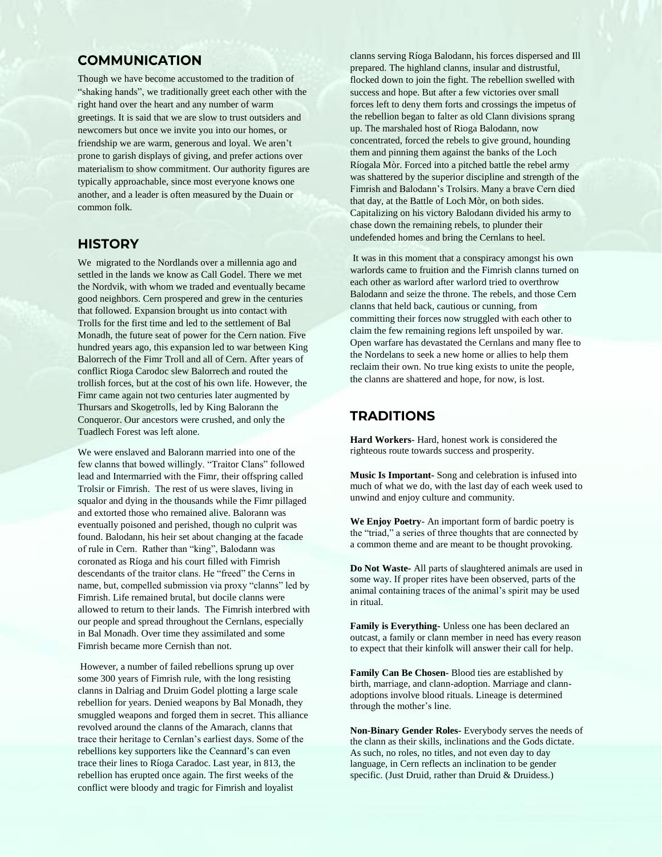# **COMMUNICATION**

Though we have become accustomed to the tradition of "shaking hands", we traditionally greet each other with the right hand over the heart and any number of warm greetings. It is said that we are slow to trust outsiders and newcomers but once we invite you into our homes, or friendship we are warm, generous and loyal. We aren't prone to garish displays of giving, and prefer actions over materialism to show commitment. Our authority figures are typically approachable, since most everyone knows one another, and a leader is often measured by the Duain or common folk.

#### **HISTORY**

We migrated to the Nordlands over a millennia ago and settled in the lands we know as Call Godel. There we met the Nordvik, with whom we traded and eventually became good neighbors. Cern prospered and grew in the centuries that followed. Expansion brought us into contact with Trolls for the first time and led to the settlement of Bal Monadh, the future seat of power for the Cern nation. Five hundred years ago, this expansion led to war between King Balorrech of the Fimr Troll and all of Cern. After years of conflict Rioga Carodoc slew Balorrech and routed the trollish forces, but at the cost of his own life. However, the Fimr came again not two centuries later augmented by Thursars and Skogetrolls, led by King Balorann the Conqueror. Our ancestors were crushed, and only the Tuadlech Forest was left alone.

We were enslaved and Balorann married into one of the few clanns that bowed willingly. "Traitor Clans" followed lead and Intermarried with the Fimr, their offspring called Trolsir or Fimrish. The rest of us were slaves, living in squalor and dying in the thousands while the Fimr pillaged and extorted those who remained alive. Balorann was eventually poisoned and perished, though no culprit was found. Balodann, his heir set about changing at the facade of rule in Cern. Rather than "king", Balodann was coronated as Ríoga and his court filled with Fimrish descendants of the traitor clans. He "freed" the Cerns in name, but, compelled submission via proxy "clanns" led by Fimrish. Life remained brutal, but docile clanns were allowed to return to their lands. The Fimrish interbred with our people and spread throughout the Cernlans, especially in Bal Monadh. Over time they assimilated and some Fimrish became more Cernish than not.

However, a number of failed rebellions sprung up over some 300 years of Fimrish rule, with the long resisting clanns in Dalriag and Druim Godel plotting a large scale rebellion for years. Denied weapons by Bal Monadh, they smuggled weapons and forged them in secret. This alliance revolved around the clanns of the Amarach, clanns that trace their heritage to Cernlan's earliest days. Some of the rebellions key supporters like the Ceannard's can even trace their lines to Ríoga Caradoc. Last year, in 813, the rebellion has erupted once again. The first weeks of the conflict were bloody and tragic for Fimrish and loyalist

clanns serving Ríoga Balodann, his forces dispersed and Ill prepared. The highland clanns, insular and distrustful, flocked down to join the fight. The rebellion swelled with success and hope. But after a few victories over small forces left to deny them forts and crossings the impetus of the rebellion began to falter as old Clann divisions sprang up. The marshaled host of Rioga Balodann, now concentrated, forced the rebels to give ground, hounding them and pinning them against the banks of the Loch Ríogala Mòr. Forced into a pitched battle the rebel army was shattered by the superior discipline and strength of the Fimrish and Balodann's Trolsirs. Many a brave Cern died that day, at the Battle of Loch Mòr, on both sides. Capitalizing on his victory Balodann divided his army to chase down the remaining rebels, to plunder their undefended homes and bring the Cernlans to heel.

It was in this moment that a conspiracy amongst his own warlords came to fruition and the Fimrish clanns turned on each other as warlord after warlord tried to overthrow Balodann and seize the throne. The rebels, and those Cern clanns that held back, cautious or cunning, from committing their forces now struggled with each other to claim the few remaining regions left unspoiled by war. Open warfare has devastated the Cernlans and many flee to the Nordelans to seek a new home or allies to help them reclaim their own. No true king exists to unite the people, the clanns are shattered and hope, for now, is lost.

#### **TRADITIONS**

**Hard Workers**- Hard, honest work is considered the righteous route towards success and prosperity.

**Music Is Important-** Song and celebration is infused into much of what we do, with the last day of each week used to unwind and enjoy culture and community.

**We Enjoy Poetry**- An important form of bardic poetry is the "triad," a series of three thoughts that are connected by a common theme and are meant to be thought provoking.

**Do Not Waste-** All parts of slaughtered animals are used in some way. If proper rites have been observed, parts of the animal containing traces of the animal's spirit may be used in ritual.

**Family is Everything-** Unless one has been declared an outcast, a family or clann member in need has every reason to expect that their kinfolk will answer their call for help.

**Family Can Be Chosen-** Blood ties are established by birth, marriage, and clann-adoption. Marriage and clannadoptions involve blood rituals. Lineage is determined through the mother's line.

**Non-Binary Gender Roles-** Everybody serves the needs of the clann as their skills, inclinations and the Gods dictate. As such, no roles, no titles, and not even day to day language, in Cern reflects an inclination to be gender specific. (Just Druid, rather than Druid & Druidess.)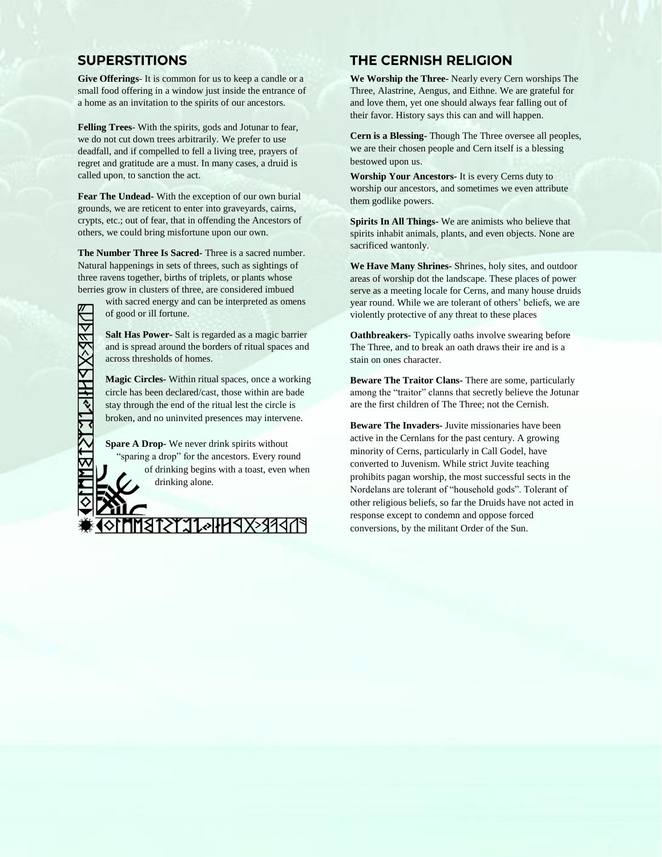## **SUPERSTITIONS**

**Give Offerings**- It is common for us to keep a candle or a small food offering in a window just inside the entrance of a home as an invitation to the spirits of our ancestors.

**Felling Trees**- With the spirits, gods and Jotunar to fear, we do not cut down trees arbitrarily. We prefer to use deadfall, and if compelled to fell a living tree, prayers of regret and gratitude are a must. In many cases, a druid is called upon, to sanction the act.

**Fear The Undead-** With the exception of our own burial grounds, we are reticent to enter into graveyards, cairns, crypts, etc.; out of fear, that in offending the Ancestors of others, we could bring misfortune upon our own.

**The Number Three Is Sacred-** Three is a sacred number. Natural happenings in sets of threes, such as sightings of three ravens together, births of triplets, or plants whose berries grow in clusters of three, are considered imbued

**MST.** 

with sacred energy and can be interpreted as omens of good or ill fortune.

**Salt Has Power-** Salt is regarded as a magic barrier and is spread around the borders of ritual spaces and across thresholds of homes.

**Magic Circles-** Within ritual spaces, once a working circle has been declared/cast, those within are bade stay through the end of the ritual lest the circle is broken, and no uninvited presences may intervene.

**Spare A Drop-** We never drink spirits without "sparing a drop" for the ancestors. Every round of drinking begins with a toast, even when drinking alone.

**ENDRESSPHINLYSTE** 

# **THE CERNISH RELIGION**

**We Worship the Three-** Nearly every Cern worships The Three, Alastrine, Aengus, and Eithne. We are grateful for and love them, yet one should always fear falling out of their favor. History says this can and will happen.

**Cern is a Blessing-** Though The Three oversee all peoples, we are their chosen people and Cern itself is a blessing bestowed upon us.

**Worship Your Ancestors-** It is every Cerns duty to worship our ancestors, and sometimes we even attribute them godlike powers.

**Spirits In All Things-** We are animists who believe that spirits inhabit animals, plants, and even objects. None are sacrificed wantonly.

**We Have Many Shrines-** Shrines, holy sites, and outdoor areas of worship dot the landscape. These places of power serve as a meeting locale for Cerns, and many house druids year round. While we are tolerant of others' beliefs, we are violently protective of any threat to these places

**Oathbreakers-** Typically oaths involve swearing before The Three, and to break an oath draws their ire and is a stain on ones character.

**Beware The Traitor Clans-** There are some, particularly among the "traitor" clanns that secretly believe the Jotunar are the first children of The Three; not the Cernish.

**Beware The Invaders-** Juvite missionaries have been active in the Cernlans for the past century. A growing minority of Cerns, particularly in Call Godel, have converted to Juvenism. While strict Juvite teaching prohibits pagan worship, the most successful sects in the Nordelans are tolerant of "household gods". Tolerant of other religious beliefs, so far the Druids have not acted in response except to condemn and oppose forced conversions, by the militant Order of the Sun.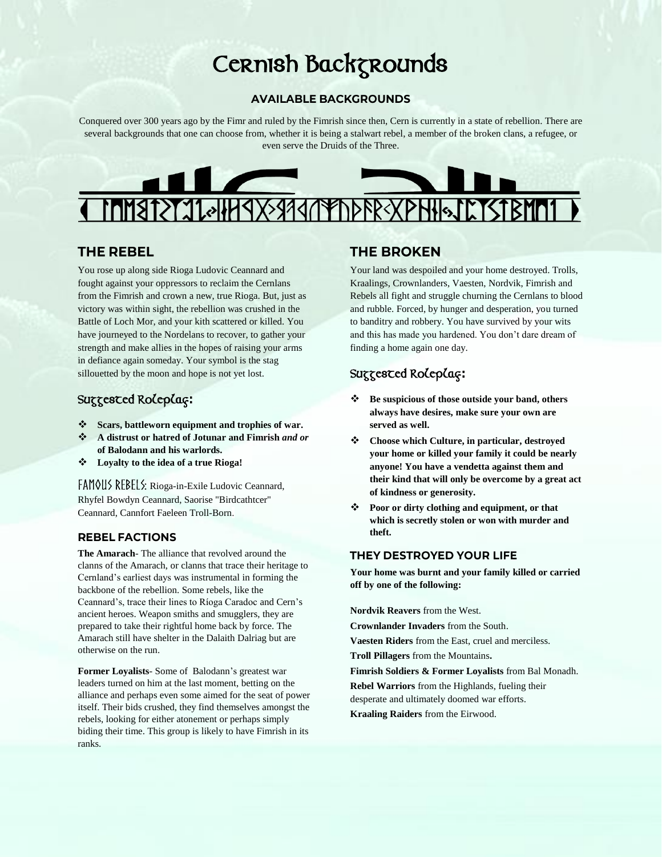# Cernish Backgrounds

#### **AVAILABLE BACKGROUNDS**

Conquered over 300 years ago by the Fimr and ruled by the Fimrish since then, Cern is currently in a state of rebellion. There are several backgrounds that one can choose from, whether it is being a stalwart rebel, a member of the broken clans, a refugee, or even serve the Druids of the Three.



## **THE REBEL**

You rose up along side Rioga Ludovic Ceannard and fought against your oppressors to reclaim the Cernlans from the Fimrish and crown a new, true Rioga. But, just as victory was within sight, the rebellion was crushed in the Battle of Loch Mor, and your kith scattered or killed. You have journeyed to the Nordelans to recover, to gather your strength and make allies in the hopes of raising your arms in defiance again someday. Your symbol is the stag sillouetted by the moon and hope is not yet lost.

# Suggested Roleplay**:**

- ❖ **Scars, battleworn equipment and trophies of war.**
- ❖ **A distrust or hatred of Jotunar and Fimrish** *and or* **of Balodann and his warlords.**
- ❖ **Loyalty to the idea of a true Rioga!**

FAMOUS REBELS: Rioga-in-Exile Ludovic Ceannard, Rhyfel Bowdyn Ceannard, Saorise "Birdcathtcer" Ceannard, Cannfort Faeleen Troll-Born.

#### **REBEL FACTIONS**

**The Amarach**- The alliance that revolved around the clanns of the Amarach, or clanns that trace their heritage to Cernland's earliest days was instrumental in forming the backbone of the rebellion. Some rebels, like the Ceannard's, trace their lines to Ríoga Caradoc and Cern's ancient heroes. Weapon smiths and smugglers, they are prepared to take their rightful home back by force. The Amarach still have shelter in the Dalaith Dalriag but are otherwise on the run.

**Former Loyalists**- Some of Balodann's greatest war leaders turned on him at the last moment, betting on the alliance and perhaps even some aimed for the seat of power itself. Their bids crushed, they find themselves amongst the rebels, looking for either atonement or perhaps simply biding their time. This group is likely to have Fimrish in its ranks.

#### **THE BROKEN**

Your land was despoiled and your home destroyed. Trolls, Kraalings, Crownlanders, Vaesten, Nordvik, Fimrish and Rebels all fight and struggle churning the Cernlans to blood and rubble. Forced, by hunger and desperation, you turned to banditry and robbery. You have survived by your wits and this has made you hardened. You don't dare dream of finding a home again one day.

# Suggested Roleplay**:**

- ❖ **Be suspicious of those outside your band, others always have desires, make sure your own are served as well.**
- ❖ **Choose which Culture, in particular, destroyed your home or killed your family it could be nearly anyone! You have a vendetta against them and their kind that will only be overcome by a great act of kindness or generosity.**
- ❖ **Poor or dirty clothing and equipment, or that which is secretly stolen or won with murder and theft.**

#### **THEY DESTROYED YOUR LIFE**

**Your home was burnt and your family killed or carried off by one of the following:**

**Nordvik Reavers** from the West.

**Crownlander Invaders** from the South.

**Vaesten Riders** from the East, cruel and merciless.

**Troll Pillagers** from the Mountains**.**

**Fimrish Soldiers & Former Loyalists** from Bal Monadh. **Rebel Warriors** from the Highlands, fueling their desperate and ultimately doomed war efforts.

**Kraaling Raiders** from the Eirwood.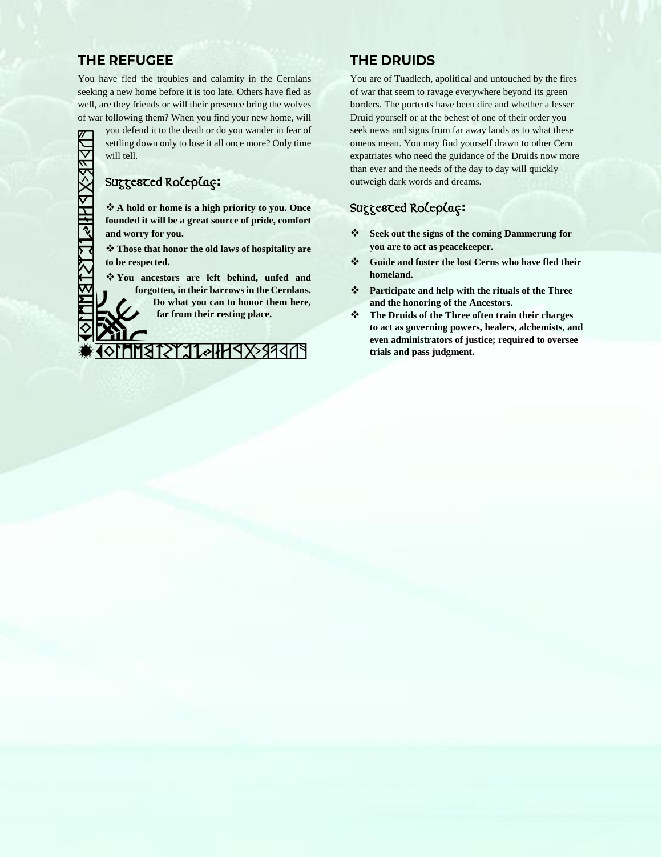# **THE REFUGEE**

You have fled the troubles and calamity in the Cernlans seeking a new home before it is too late. Others have fled as well, are they friends or will their presence bring the wolves of war following them? When you find your new home, will

you defend it to the death or do you wander in fear of settling down only to lose it all once more? Only time will tell.

# Suggested Roleplay**:**

❖ **A hold or home is a high priority to you. Once founded it will be a great source of pride, comfort and worry for you.**

❖ **Those that honor the old laws of hospitality are to be respected.** 

❖ **You ancestors are left behind, unfed and forgotten, in their barrows in the Cernlans. Do what you can to honor them here,** 

**far from their resting place.**

**PIPPREXPHHOLLYSTRMM** 

# **THE DRUIDS**

You are of Tuadlech, apolitical and untouched by the fires of war that seem to ravage everywhere beyond its green borders. The portents have been dire and whether a lesser Druid yourself or at the behest of one of their order you seek news and signs from far away lands as to what these omens mean. You may find yourself drawn to other Cern expatriates who need the guidance of the Druids now more than ever and the needs of the day to day will quickly outweigh dark words and dreams.

# Suggested Roleplay**:**

- ❖ **Seek out the signs of the coming Dammerung for you are to act as peacekeeper.**
- ❖ **Guide and foster the lost Cerns who have fled their homeland.**
- ❖ **Participate and help with the rituals of the Three and the honoring of the Ancestors.**
- ❖ **The Druids of the Three often train their charges to act as governing powers, healers, alchemists, and even administrators of justice; required to oversee trials and pass judgment.**